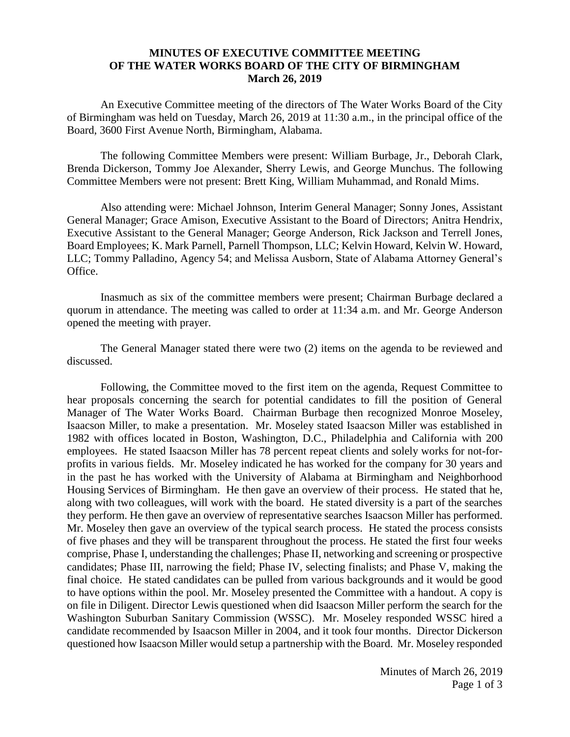## **MINUTES OF EXECUTIVE COMMITTEE MEETING OF THE WATER WORKS BOARD OF THE CITY OF BIRMINGHAM March 26, 2019**

An Executive Committee meeting of the directors of The Water Works Board of the City of Birmingham was held on Tuesday, March 26, 2019 at 11:30 a.m., in the principal office of the Board, 3600 First Avenue North, Birmingham, Alabama.

The following Committee Members were present: William Burbage, Jr., Deborah Clark, Brenda Dickerson, Tommy Joe Alexander, Sherry Lewis, and George Munchus. The following Committee Members were not present: Brett King, William Muhammad, and Ronald Mims.

Also attending were: Michael Johnson, Interim General Manager; Sonny Jones, Assistant General Manager; Grace Amison, Executive Assistant to the Board of Directors; Anitra Hendrix, Executive Assistant to the General Manager; George Anderson, Rick Jackson and Terrell Jones, Board Employees; K. Mark Parnell, Parnell Thompson, LLC; Kelvin Howard, Kelvin W. Howard, LLC; Tommy Palladino, Agency 54; and Melissa Ausborn, State of Alabama Attorney General's Office.

Inasmuch as six of the committee members were present; Chairman Burbage declared a quorum in attendance. The meeting was called to order at 11:34 a.m. and Mr. George Anderson opened the meeting with prayer.

The General Manager stated there were two (2) items on the agenda to be reviewed and discussed.

Following, the Committee moved to the first item on the agenda, Request Committee to hear proposals concerning the search for potential candidates to fill the position of General Manager of The Water Works Board. Chairman Burbage then recognized Monroe Moseley, Isaacson Miller, to make a presentation. Mr. Moseley stated Isaacson Miller was established in 1982 with offices located in Boston, Washington, D.C., Philadelphia and California with 200 employees. He stated Isaacson Miller has 78 percent repeat clients and solely works for not-forprofits in various fields. Mr. Moseley indicated he has worked for the company for 30 years and in the past he has worked with the University of Alabama at Birmingham and Neighborhood Housing Services of Birmingham. He then gave an overview of their process. He stated that he, along with two colleagues, will work with the board. He stated diversity is a part of the searches they perform. He then gave an overview of representative searches Isaacson Miller has performed. Mr. Moseley then gave an overview of the typical search process. He stated the process consists of five phases and they will be transparent throughout the process. He stated the first four weeks comprise, Phase I, understanding the challenges; Phase II, networking and screening or prospective candidates; Phase III, narrowing the field; Phase IV, selecting finalists; and Phase V, making the final choice. He stated candidates can be pulled from various backgrounds and it would be good to have options within the pool. Mr. Moseley presented the Committee with a handout. A copy is on file in Diligent. Director Lewis questioned when did Isaacson Miller perform the search for the Washington Suburban Sanitary Commission (WSSC). Mr. Moseley responded WSSC hired a candidate recommended by Isaacson Miller in 2004, and it took four months. Director Dickerson questioned how Isaacson Miller would setup a partnership with the Board. Mr. Moseley responded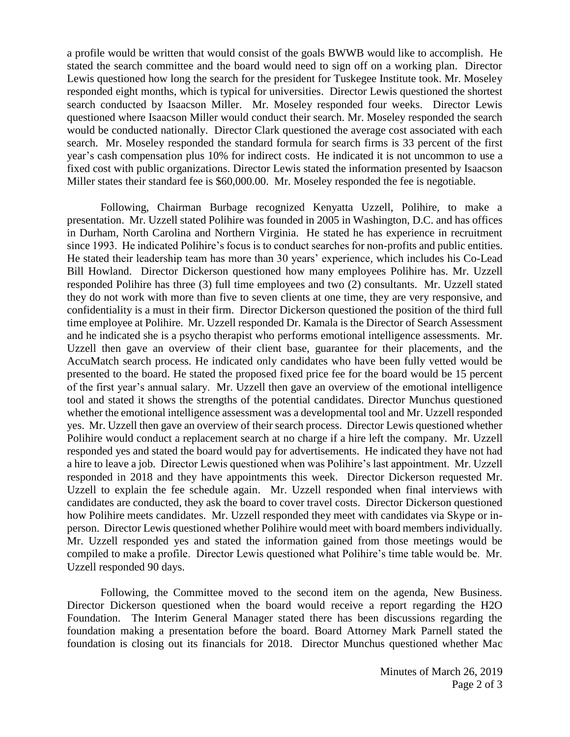a profile would be written that would consist of the goals BWWB would like to accomplish. He stated the search committee and the board would need to sign off on a working plan. Director Lewis questioned how long the search for the president for Tuskegee Institute took. Mr. Moseley responded eight months, which is typical for universities. Director Lewis questioned the shortest search conducted by Isaacson Miller. Mr. Moseley responded four weeks. Director Lewis questioned where Isaacson Miller would conduct their search. Mr. Moseley responded the search would be conducted nationally. Director Clark questioned the average cost associated with each search. Mr. Moseley responded the standard formula for search firms is 33 percent of the first year's cash compensation plus 10% for indirect costs. He indicated it is not uncommon to use a fixed cost with public organizations. Director Lewis stated the information presented by Isaacson Miller states their standard fee is \$60,000.00. Mr. Moseley responded the fee is negotiable.

Following, Chairman Burbage recognized Kenyatta Uzzell, Polihire, to make a presentation. Mr. Uzzell stated Polihire was founded in 2005 in Washington, D.C. and has offices in Durham, North Carolina and Northern Virginia. He stated he has experience in recruitment since 1993. He indicated Polihire's focus is to conduct searches for non-profits and public entities. He stated their leadership team has more than 30 years' experience, which includes his Co-Lead Bill Howland. Director Dickerson questioned how many employees Polihire has. Mr. Uzzell responded Polihire has three (3) full time employees and two (2) consultants. Mr. Uzzell stated they do not work with more than five to seven clients at one time, they are very responsive, and confidentiality is a must in their firm. Director Dickerson questioned the position of the third full time employee at Polihire. Mr. Uzzell responded Dr. Kamala is the Director of Search Assessment and he indicated she is a psycho therapist who performs emotional intelligence assessments. Mr. Uzzell then gave an overview of their client base, guarantee for their placements, and the AccuMatch search process. He indicated only candidates who have been fully vetted would be presented to the board. He stated the proposed fixed price fee for the board would be 15 percent of the first year's annual salary. Mr. Uzzell then gave an overview of the emotional intelligence tool and stated it shows the strengths of the potential candidates. Director Munchus questioned whether the emotional intelligence assessment was a developmental tool and Mr. Uzzell responded yes. Mr. Uzzell then gave an overview of their search process. Director Lewis questioned whether Polihire would conduct a replacement search at no charge if a hire left the company. Mr. Uzzell responded yes and stated the board would pay for advertisements. He indicated they have not had a hire to leave a job. Director Lewis questioned when was Polihire's last appointment. Mr. Uzzell responded in 2018 and they have appointments this week. Director Dickerson requested Mr. Uzzell to explain the fee schedule again. Mr. Uzzell responded when final interviews with candidates are conducted, they ask the board to cover travel costs. Director Dickerson questioned how Polihire meets candidates. Mr. Uzzell responded they meet with candidates via Skype or inperson. Director Lewis questioned whether Polihire would meet with board members individually. Mr. Uzzell responded yes and stated the information gained from those meetings would be compiled to make a profile. Director Lewis questioned what Polihire's time table would be. Mr. Uzzell responded 90 days.

Following, the Committee moved to the second item on the agenda, New Business. Director Dickerson questioned when the board would receive a report regarding the H2O Foundation. The Interim General Manager stated there has been discussions regarding the foundation making a presentation before the board. Board Attorney Mark Parnell stated the foundation is closing out its financials for 2018. Director Munchus questioned whether Mac